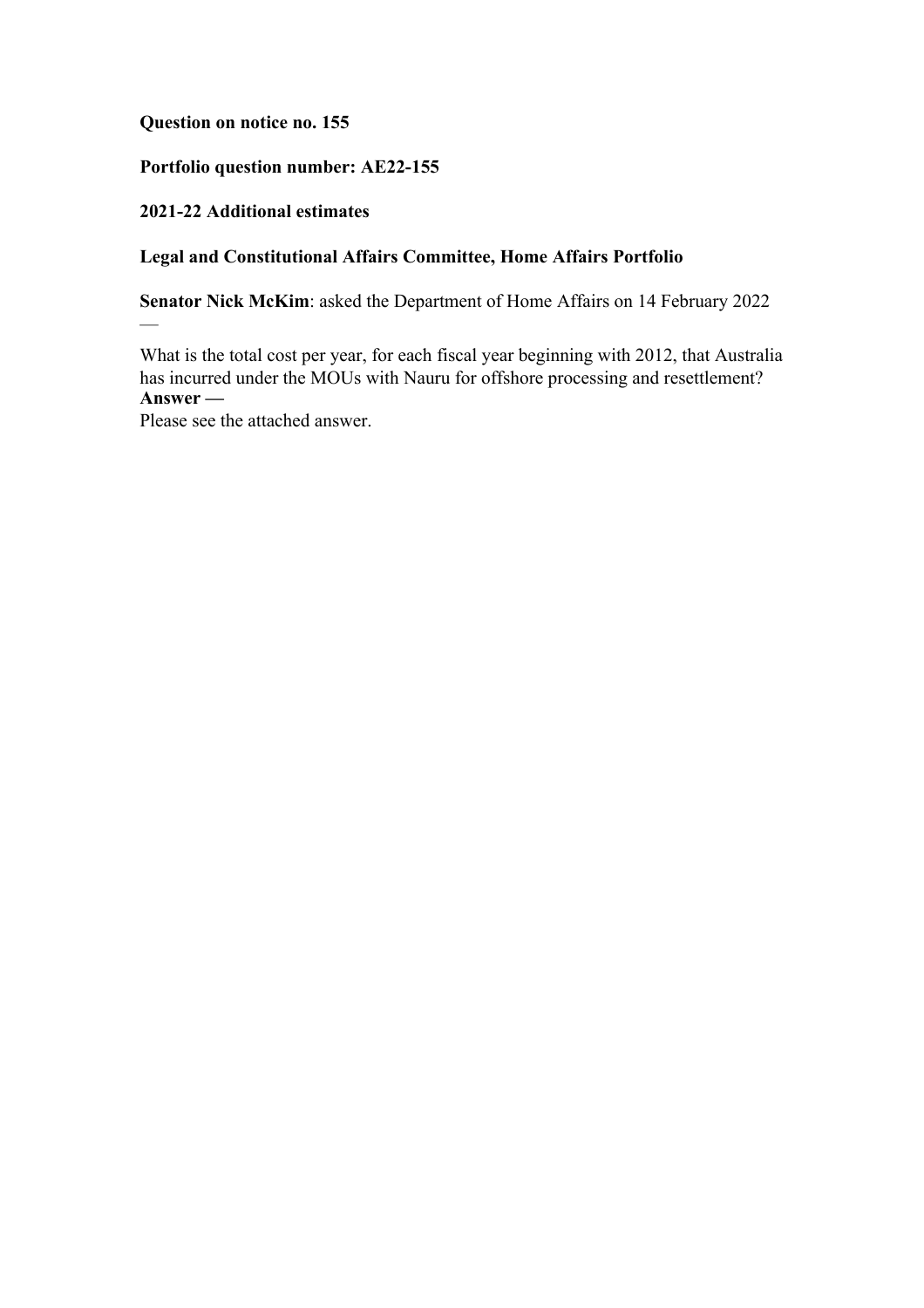**Question on notice no. 155**

# **Portfolio question number: AE22-155**

## **2021-22 Additional estimates**

 $\overline{\phantom{0}}$ 

# **Legal and Constitutional Affairs Committee, Home Affairs Portfolio**

**Senator Nick McKim**: asked the Department of Home Affairs on 14 February 2022

What is the total cost per year, for each fiscal year beginning with 2012, that Australia has incurred under the MOUs with Nauru for offshore processing and resettlement? **Answer —**

Please see the attached answer.